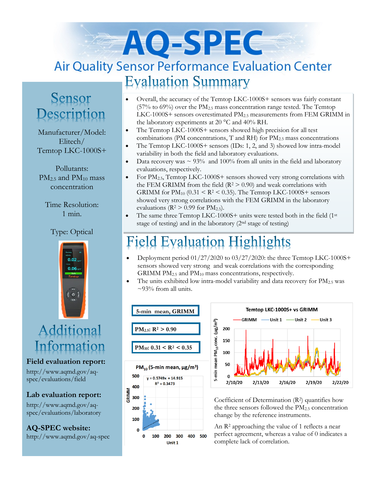# AO-SPEC **Air Quality Sensor Performance Evaluation Center Evaluation Summary**

## Sensor Description

Manufacturer/Model: Elitech/ Temtop LKC-1000S+

Pollutants:  $PM<sub>25</sub>$  and  $PM<sub>10</sub>$  mass concentration

Time Resolution: 1 min.

#### Type: Optical



## Additional Information

**Field evaluation report:**

http://www.aqmd.gov/aqspec/evaluations/field

**Lab evaluation report:**

http://www.aqmd.gov/aqspec/evaluations/laboratory

**AQ-SPEC website:**  http://www.aqmd.gov/aq-spec

- Overall, the accuracy of the Temtop LKC-1000S+ sensors was fairly constant (57% to 69%) over the PM2.5 mass concentration range tested. The Temtop LKC-1000S+ sensors overestimated PM2.5 measurements from FEM GRIMM in the laboratory experiments at 20 °C and 40% RH.
- The Temtop LKC-1000S+ sensors showed high precision for all test combinations (PM concentrations, T and RH) for  $PM_{2.5}$  mass concentrations
- The Temtop LKC-1000S+ sensors (IDs: 1, 2, and 3) showed low intra-model variability in both the field and laboratory evaluations.
- Data recovery was  $\sim$  93% and 100% from all units in the field and laboratory evaluations, respectively.
- For  $PM_{2.5}$ , Temtop LKC-1000S+ sensors showed very strong correlations with the FEM GRIMM from the field  $(R^2 > 0.90)$  and weak correlations with GRIMM for  $PM_{10}$  (0.31  $\leq$  R<sup>2</sup>  $\leq$  0.35). The Temtop LKC-1000S+ sensors showed very strong correlations with the FEM GRIMM in the laboratory evaluations ( $R^2 > 0.99$  for  $PM_{2.5}$ ).
- The same three Temtop LKC-1000S+ units were tested both in the field (1<sup>st</sup>) stage of testing) and in the laboratory (2nd stage of testing)

#### **Evaluation Highlights** ield

- Deployment period  $01/27/2020$  to  $03/27/2020$ : the three Temtop LKC-1000S+ sensors showed very strong and weak correlations with the corresponding GRIMM  $PM<sub>2.5</sub>$  and  $PM<sub>10</sub>$  mass concentrations, respectively.
- The units exhibited low intra-model variability and data recovery for  $PM_{2.5}$  was  $\sim$ 93% from all units.





Coefficient of Determination (R2) quantifies how the three sensors followed the PM<sub>2.5</sub> concentration change by the reference instruments.

An R<sup>2</sup> approaching the value of 1 reflects a near perfect agreement, whereas a value of 0 indicates a complete lack of correlation.